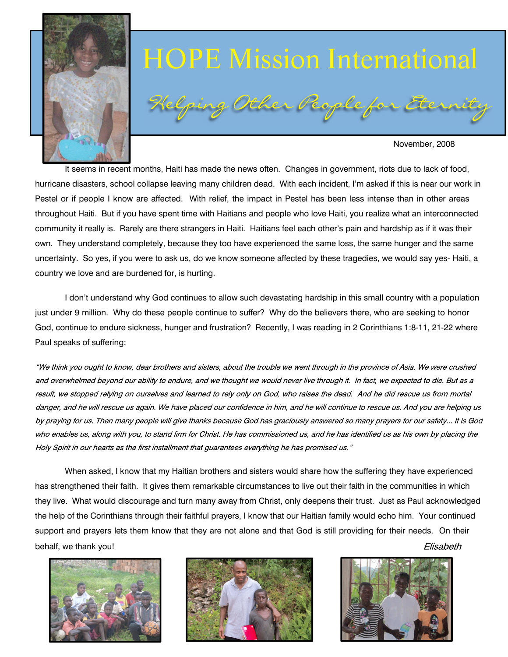

# (elping Other People for Eternit HOPE Mission International

#### November, 2008

 It seems in recent months, Haiti has made the news often. Changes in government, riots due to lack of food, hurricane disasters, school collapse leaving many children dead. With each incident, I'm asked if this is near our work in Pestel or if people I know are affected. With relief, the impact in Pestel has been less intense than in other areas throughout Haiti. But if you have spent time with Haitians and people who love Haiti, you realize what an interconnected community it really is. Rarely are there strangers in Haiti. Haitians feel each other's pain and hardship as if it was their own. They understand completely, because they too have experienced the same loss, the same hunger and the same uncertainty. So yes, if you were to ask us, do we know someone affected by these tragedies, we would say yes- Haiti, a country we love and are burdened for, is hurting.

 I don't understand why God continues to allow such devastating hardship in this small country with a population just under 9 million. Why do these people continue to suffer? Why do the believers there, who are seeking to honor God, continue to endure sickness, hunger and frustration? Recently, I was reading in 2 Corinthians 1:8-11, 21-22 where Paul speaks of suffering:

"We think you ought to know, dear brothers and sisters, about the trouble we went through in the province of Asia. We were crushed and overwhelmed beyond our ability to endure, and we thought we would never live through it. In fact, we expected to die. But as a result, we stopped relying on ourselves and learned to rely only on God, who raises the dead. And he did rescue us from mortal danger, and he will rescue us again. We have placed our confidence in him, and he will continue to rescue us. And you are helping us by praying for us. Then many people will give thanks because God has graciously answered so many prayers for our safety... It is God who enables us, along with you, to stand firm for Christ. He has commissioned us, and he has identified us as his own by placing the Holy Spirit in our hearts as the first installment that quarantees everything he has promised us."

 When asked, I know that my Haitian brothers and sisters would share how the suffering they have experienced has strengthened their faith. It gives them remarkable circumstances to live out their faith in the communities in which they live. What would discourage and turn many away from Christ, only deepens their trust. Just as Paul acknowledged the help of the Corinthians through their faithful prayers, I know that our Haitian family would echo him. Your continued support and prayers lets them know that they are not alone and that God is still providing for their needs. On their behalf, we thank you! Elisabeth